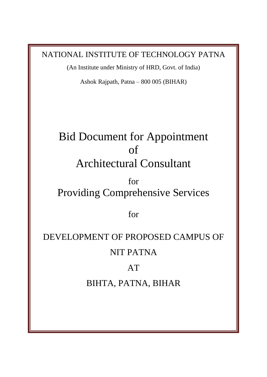NATIONAL INSTITUTE OF TECHNOLOGY PATNA

(An Institute under Ministry of HRD, Govt. of India)

Ashok Rajpath, Patna – 800 005 (BIHAR)

## Bid Document for Appointment of Architectural Consultant

### for Providing Comprehensive Services

for

# DEVELOPMENT OF PROPOSED CAMPUS OF NIT PATNA

#### AT

### BIHTA, PATNA, BIHAR